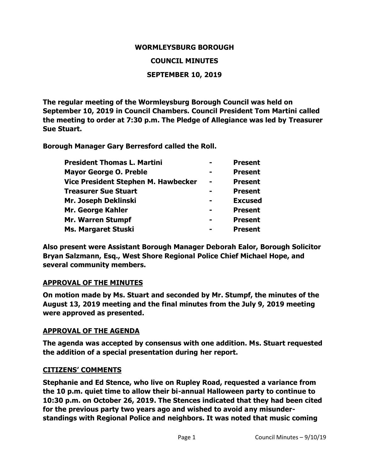#### **WORMLEYSBURG BOROUGH**

#### **COUNCIL MINUTES**

#### **SEPTEMBER 10, 2019**

**The regular meeting of the Wormleysburg Borough Council was held on September 10, 2019 in Council Chambers. Council President Tom Martini called the meeting to order at 7:30 p.m. The Pledge of Allegiance was led by Treasurer Sue Stuart.**

**Borough Manager Gary Berresford called the Roll.**

| <b>Mayor George O. Preble</b><br><b>Present</b><br>Vice President Stephen M. Hawbecker<br><b>Present</b><br><b>Treasurer Sue Stuart</b><br><b>Present</b> | <b>Present</b> |
|-----------------------------------------------------------------------------------------------------------------------------------------------------------|----------------|
|                                                                                                                                                           |                |
|                                                                                                                                                           |                |
|                                                                                                                                                           |                |
| Mr. Joseph Deklinski<br><b>Excused</b>                                                                                                                    |                |
| Mr. George Kahler<br><b>Present</b>                                                                                                                       |                |
| <b>Mr. Warren Stumpf</b><br><b>Present</b>                                                                                                                |                |
| Ms. Margaret Stuski<br><b>Present</b>                                                                                                                     |                |

**Also present were Assistant Borough Manager Deborah Ealor, Borough Solicitor Bryan Salzmann, Esq., West Shore Regional Police Chief Michael Hope, and several community members.**

#### **APPROVAL OF THE MINUTES**

**On motion made by Ms. Stuart and seconded by Mr. Stumpf, the minutes of the August 13, 2019 meeting and the final minutes from the July 9, 2019 meeting were approved as presented.**

#### **APPROVAL OF THE AGENDA**

**The agenda was accepted by consensus with one addition. Ms. Stuart requested the addition of a special presentation during her report.**

#### **CITIZENS' COMMENTS**

**Stephanie and Ed Stence, who live on Rupley Road, requested a variance from the 10 p.m. quiet time to allow their bi-annual Halloween party to continue to 10:30 p.m. on October 26, 2019. The Stences indicated that they had been cited for the previous party two years ago and wished to avoid any misunderstandings with Regional Police and neighbors. It was noted that music coming**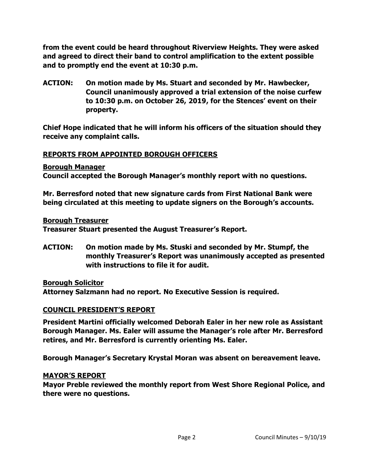**from the event could be heard throughout Riverview Heights. They were asked and agreed to direct their band to control amplification to the extent possible and to promptly end the event at 10:30 p.m.**

**ACTION: On motion made by Ms. Stuart and seconded by Mr. Hawbecker, Council unanimously approved a trial extension of the noise curfew to 10:30 p.m. on October 26, 2019, for the Stences' event on their property.**

**Chief Hope indicated that he will inform his officers of the situation should they receive any complaint calls.** 

## **REPORTS FROM APPOINTED BOROUGH OFFICERS**

**Borough Manager**

**Council accepted the Borough Manager's monthly report with no questions.**

**Mr. Berresford noted that new signature cards from First National Bank were being circulated at this meeting to update signers on the Borough's accounts.**

**Borough Treasurer**

**Treasurer Stuart presented the August Treasurer's Report.** 

**ACTION: On motion made by Ms. Stuski and seconded by Mr. Stumpf, the monthly Treasurer's Report was unanimously accepted as presented with instructions to file it for audit.** 

**Borough Solicitor**

**Attorney Salzmann had no report. No Executive Session is required.** 

### **COUNCIL PRESIDENT'S REPORT**

**President Martini officially welcomed Deborah Ealer in her new role as Assistant Borough Manager. Ms. Ealer will assume the Manager's role after Mr. Berresford retires, and Mr. Berresford is currently orienting Ms. Ealer.**

**Borough Manager's Secretary Krystal Moran was absent on bereavement leave.** 

#### **MAYOR'S REPORT**

**Mayor Preble reviewed the monthly report from West Shore Regional Police, and there were no questions.**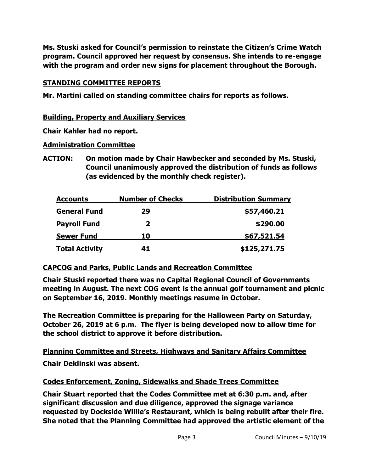**Ms. Stuski asked for Council's permission to reinstate the Citizen's Crime Watch program. Council approved her request by consensus. She intends to re-engage with the program and order new signs for placement throughout the Borough.**

## **STANDING COMMITTEE REPORTS**

**Mr. Martini called on standing committee chairs for reports as follows.**

## **Building, Property and Auxiliary Services**

**Chair Kahler had no report.** 

### **Administration Committee**

**ACTION: On motion made by Chair Hawbecker and seconded by Ms. Stuski, Council unanimously approved the distribution of funds as follows (as evidenced by the monthly check register).**

| <b>Accounts</b>       | <b>Number of Checks</b> | <b>Distribution Summary</b> |
|-----------------------|-------------------------|-----------------------------|
| <b>General Fund</b>   | 29                      | \$57,460.21                 |
| <b>Payroll Fund</b>   | 2                       | \$290.00                    |
| <b>Sewer Fund</b>     | 10                      | \$67,521.54                 |
| <b>Total Activity</b> | 41                      | \$125,271.75                |

# **CAPCOG and Parks, Public Lands and Recreation Committee**

**Chair Stuski reported there was no Capital Regional Council of Governments meeting in August. The next COG event is the annual golf tournament and picnic on September 16, 2019. Monthly meetings resume in October.** 

**The Recreation Committee is preparing for the Halloween Party on Saturday, October 26, 2019 at 6 p.m. The flyer is being developed now to allow time for the school district to approve it before distribution.** 

**Planning Committee and Streets, Highways and Sanitary Affairs Committee**

**Chair Deklinski was absent.** 

# **Codes Enforcement, Zoning, Sidewalks and Shade Trees Committee**

**Chair Stuart reported that the Codes Committee met at 6:30 p.m. and, after significant discussion and due diligence, approved the signage variance requested by Dockside Willie's Restaurant, which is being rebuilt after their fire. She noted that the Planning Committee had approved the artistic element of the**